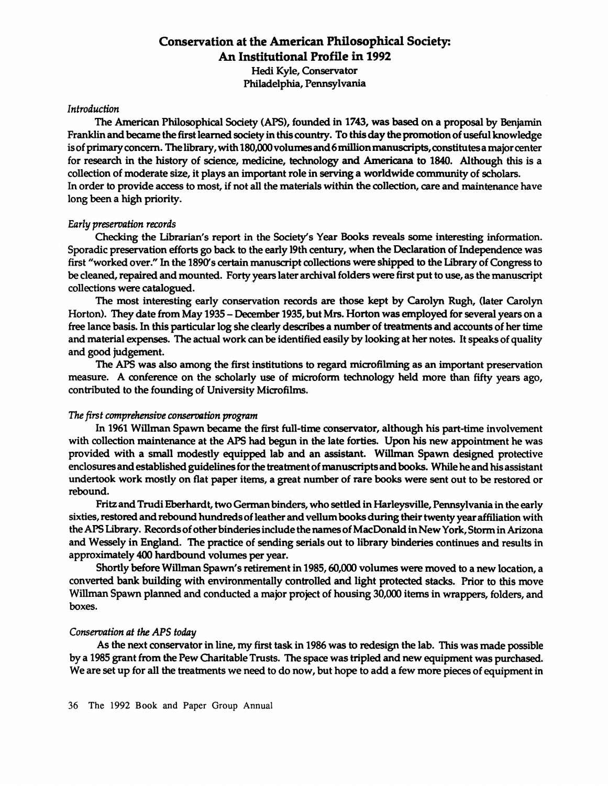# Conservation at the American Philosophical Society: An Institutional Profile in 1992

Hedi Kyle, Conservator Philadelphia, Pennsylvania

# *Introduction*

The American Philosophical Society (APS), founded in 1743, was based on a proposal by Benjamin Franklin **and became** the first learned society in this country. To this **day the** promotion of useful knowledge is of primary concern. The library, with 180,000 volumes and 6 million manuscripts, constitutes a major center for research in the history of science, medicine, technology and Americana to 1840. Although this is a collection of moderate size, it plays an important role in serving a worldwide community of scholars. In order to provide access to most, if not all the materials within the collection, care and maintenance have long been a high priority.

# *Early preservation records*

Checking the Librarian's report in the Society's Year Books reveals some interesting information. Sporadic preservation efforts go back to the early 19th century, when the Declaration of Independence was first "worked over." In the 1890's certain manuscript collections were shipped to the Library of Congress to be cleaned, repaired and mounted. Forty years later archival folders were first put to use, as the manuscript collections were catalogued.

The most interesting early conservation records are those kept by Carolyn Rugh, (later Carolyn Horton). They date from May 1935- December 1935, but Mrs. Horton was employed for several years on a free lance basis. In this particular log she clearly describes a number of treatments and accounts of her time and material expenses. The actual work can be identified easily by looking at her notes. It speaks of quality and good judgement.

The APS was also among the first institutions to regard microfilming as an important preservation measure. A conference on the scholarly use of microform technology held more than fifty years ago, contributed to the founding of University Microfilms.

# *The first comprehensive consermtion program*

In 1961 Willman Spawn became the first full-time conservator, although his part-time involvement with collection maintenance at the APS had begun in the late forties. Upon his new appointment he was provided with a small modestly equipped lab and an assistant. Willman Spawn designed protective enclosures and established guidelines for the treatment of manuscripts and books. While he and his assistant undertook work mostly on flat paper items, a great number of rare books were sent out to be restored or rebound.

Fritz and Trudi Eberhardt, two German binders, who settled in Harleysville, Pennsylvania in the early sixties, restored and rebound hundreds of leather and vellum books during their twenty year affiliation with the APS Library. Records of other binderies include the names of MacDonald in New York, Storm in Arizona and Wessely in England. The practice of sending serials out to library binderies continues and results in approximately 400 hardbound volumes per year.

Shortly before Willman Spawn's retirement in 1985, 60,000 volumes were moved to a new location, a converted bank building with environmentally controlled and light protected stacks. Prior to this move Willman Spawn planned and conducted a major project of housing 30,000 items in wrappers, folders, and boxes.

## *Conservation at the APS today*

As the next conservator in line, my first task in 1986 was to redesign the lab. This was made possible by a 1985 grant from the Pew Charitable Trusts. The space was tripled and new equipment was purchased. We are set up for all the treatments we need to do now, but hope to add a few more pieces of equipment in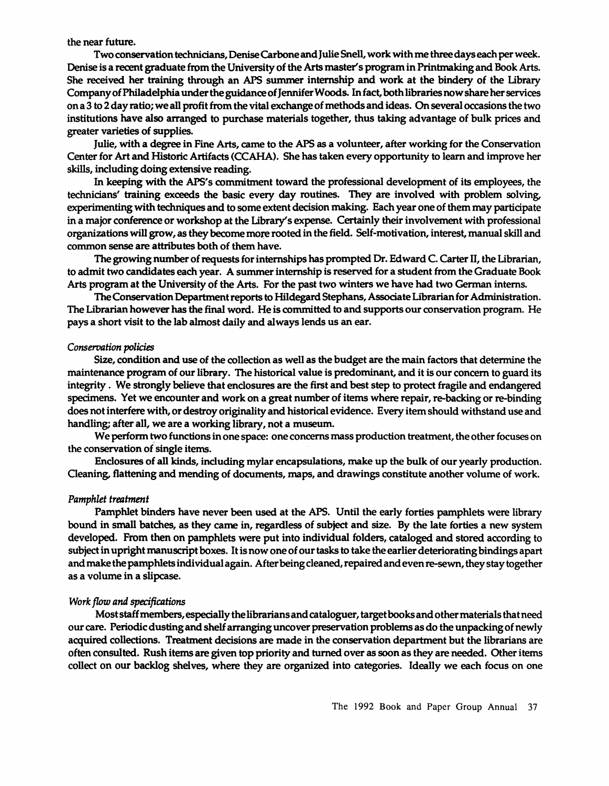#### the near future.

Two conservation technicians, Denise Carbone and Julie Snell, work with me three days each per week. Denise is a recent graduate from the University of the Arts master's program in Printmaking and Book Arts. She received her training through an APS summer internship and work at the bindery of the Library Company of Philadelphia under the guidance of Jennifer Woods. In fact, both libraries now share her services on a 3 to 2 day ratio; we all profit from the vital exchange of methods and ideas. On several occasions the two institutions have also arranged to purchase materials together, thus taking advantage of bulk prices and greater varieties of supplies.

Julie, with a degree in Fine Arts, came to the APS as a volunteer, after working for the Conservation Center for Art and Historic Artifacts (CCAHA). She has taken every opportunity to learn and improve her skills, including doing extensive reading.

In keeping with the APS's commitment toward the professional development of its employees, the technicians' training exceeds the basic every day routines. They are involved with problem solving, experimenting with techniques and to some extent decision making. Each year one of them may participate in a major conference or workshop at the Library's expense. Certainly their involvement with professional organizations will grow, as they become more rooted in the field. Self-motivation, interest, manual skill and common sense are attributes both of them have.

The growing number of requests for internships has prompted Dr. Edward C. Carter II, the Librarian, to admit two candidates each year. A summer internship is reserved for a student from the Graduate Book Arts program at the University of the Arts. For the past two winters we have had two German interns.

The Conservation Department reports to Hildegard Stephans, Associate Librarian for Administration. The Librarian however has the final word. He is committed to and supports our conservation program. He pays a short visit to the lab almost daily and always lends us an ear.

#### *Conservation policies*

Size, condition and use of the collection as well as the budget are the main factors that determine the maintenance program of our library. The historical value is predominant, and it is our concern to guard its integrity . We strongly believe that enclosures are the first and best step to protect fragile and endangered specimens. Yet we encounter and work on a great number of items where repair, re-backing or re-binding does not interfere with, or destroy originality and historical evidence. Every item should withstand use and handling; after all, we are a working library, not a museum.

We perform two functions in one space: one concerns mass production treatment, the other focuses on the conservation of single items.

Enclosures of all kinds, including mylar encapsulations, make up the bulk of our yearly production. Cleaning, flattening and mending of doruments, maps, and drawings constitute another volume of work.

#### Pamphlet treatment

Pamphlet binders have never been used at the APS. Until the early forties pamphlets were library bound in small batches, as they came in, regardless of subject and size. By the late forties a new system developed. From then on pamphlets were put into individual folders, cataloged and stored according to subject in upright manuscript boxes. It is now one of our tasks to take the earlier deteriorating bindings apart and make the pamphlets individual again. After being cleaned, repaired and even re-sewn, they stay together as a volume in a slipcase.

## *Work flow and specifications*

Most staff members, especially the librarians and cataloguer, target books and other materials that need our care. Periodic dusting and shelf arranging uncover preservation problems as do the unpacking of newly acquired collections. Treatment decisions are made in the conservation department but the librarians are often consulted. Rush items are given top priority and turned over as soon as they are needed. Other items collect on our backlog shelves, where they are organized into categories. Ideally we each focus on one